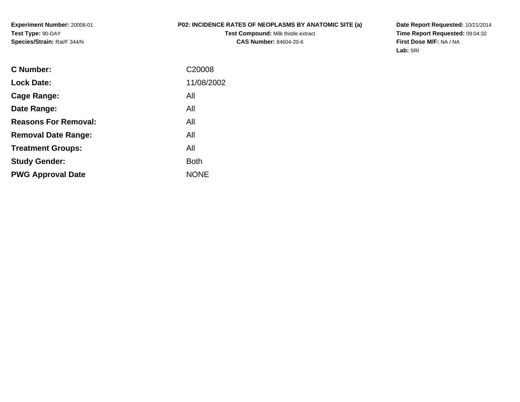**Experiment Number:** 20008-01**Test Type:** 90-DAY**Species/Strain:** Rat/F 344/N

## **P02: INCIDENCE RATES OF NEOPLASMS BY ANATOMIC SITE (a)**

**Test Compound:** Milk thistle extract**CAS Number:** 84604-20-6

**Date Report Requested:** 10/21/2014 **Time Report Requested:** 09:04:32**First Dose M/F:** NA / NA**Lab:** SRI

| C Number:                   | C <sub>20008</sub> |
|-----------------------------|--------------------|
| <b>Lock Date:</b>           | 11/08/2002         |
| Cage Range:                 | All                |
| Date Range:                 | All                |
| <b>Reasons For Removal:</b> | All                |
| <b>Removal Date Range:</b>  | All                |
| <b>Treatment Groups:</b>    | All                |
| <b>Study Gender:</b>        | Both               |
| <b>PWG Approval Date</b>    | <b>NONE</b>        |
|                             |                    |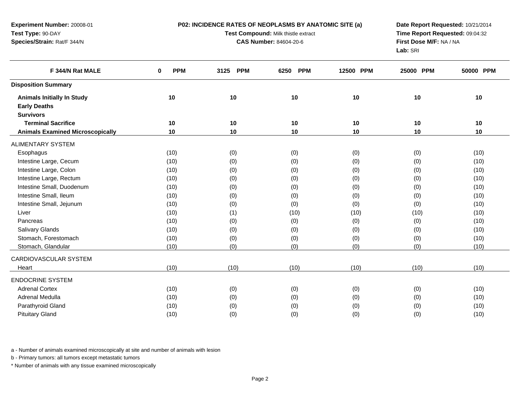**P02: INCIDENCE RATES OF NEOPLASMS BY ANATOMIC SITE (a)**

**Experiment Number:** 20008-01**Test Type:** 90-DAY**Species/Strain:** Rat/F 344/N

**Test Compound:** Milk thistle extract

**CAS Number:** 84604-20-6

**Date Report Requested:** 10/21/2014 **Time Report Requested:** 09:04:32**First Dose M/F:** NA / NA**Lab:** SRI

| F 344/N Rat MALE                        | <b>PPM</b><br>0 | <b>PPM</b><br>3125 | <b>PPM</b><br>6250 | 12500 PPM | 25000 PPM | 50000 PPM |  |
|-----------------------------------------|-----------------|--------------------|--------------------|-----------|-----------|-----------|--|
| <b>Disposition Summary</b>              |                 |                    |                    |           |           |           |  |
| <b>Animals Initially In Study</b>       | 10              | 10                 | 10                 | 10        | 10        | 10        |  |
| <b>Early Deaths</b>                     |                 |                    |                    |           |           |           |  |
| <b>Survivors</b>                        |                 |                    |                    |           |           |           |  |
| <b>Terminal Sacrifice</b>               | 10              | 10                 | 10                 | 10        | 10        | 10        |  |
| <b>Animals Examined Microscopically</b> | 10              | 10                 | 10                 | 10        | 10        | 10        |  |
| <b>ALIMENTARY SYSTEM</b>                |                 |                    |                    |           |           |           |  |
| Esophagus                               | (10)            | (0)                | (0)                | (0)       | (0)       | (10)      |  |
| Intestine Large, Cecum                  | (10)            | (0)                | (0)                | (0)       | (0)       | (10)      |  |
| Intestine Large, Colon                  | (10)            | (0)                | (0)                | (0)       | (0)       | (10)      |  |
| Intestine Large, Rectum                 | (10)            | (0)                | (0)                | (0)       | (0)       | (10)      |  |
| Intestine Small, Duodenum               | (10)            | (0)                | (0)                | (0)       | (0)       | (10)      |  |
| Intestine Small, Ileum                  | (10)            | (0)                | (0)                | (0)       | (0)       | (10)      |  |
| Intestine Small, Jejunum                | (10)            | (0)                | (0)                | (0)       | (0)       | (10)      |  |
| Liver                                   | (10)            | (1)                | (10)               | (10)      | (10)      | (10)      |  |
| Pancreas                                | (10)            | (0)                | (0)                | (0)       | (0)       | (10)      |  |
| Salivary Glands                         | (10)            | (0)                | (0)                | (0)       | (0)       | (10)      |  |
| Stomach, Forestomach                    | (10)            | (0)                | (0)                | (0)       | (0)       | (10)      |  |
| Stomach, Glandular                      | (10)            | (0)                | (0)                | (0)       | (0)       | (10)      |  |
| <b>CARDIOVASCULAR SYSTEM</b>            |                 |                    |                    |           |           |           |  |
| Heart                                   | (10)            | (10)               | (10)               | (10)      | (10)      | (10)      |  |
| <b>ENDOCRINE SYSTEM</b>                 |                 |                    |                    |           |           |           |  |
| <b>Adrenal Cortex</b>                   | (10)            | (0)                | (0)                | (0)       | (0)       | (10)      |  |
| Adrenal Medulla                         | (10)            | (0)                | (0)                | (0)       | (0)       | (10)      |  |
| Parathyroid Gland                       | (10)            | (0)                | (0)                | (0)       | (0)       | (10)      |  |
| <b>Pituitary Gland</b>                  | (10)            | (0)                | (0)                | (0)       | (0)       | (10)      |  |

a - Number of animals examined microscopically at site and number of animals with lesion

b - Primary tumors: all tumors except metastatic tumors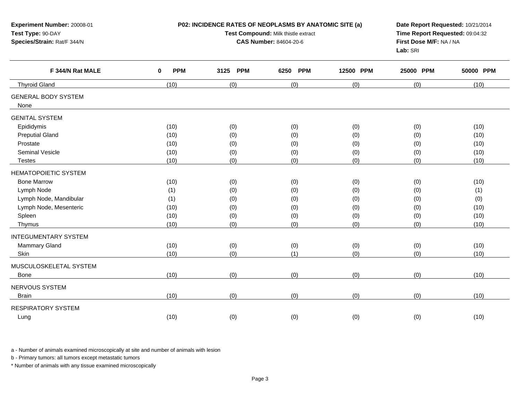| Experiment Number: 20008-01<br>Test Type: 90-DAY<br>Species/Strain: Rat/F 344/N |                           | P02: INCIDENCE RATES OF NEOPLASMS BY ANATOMIC SITE (a)<br>Test Compound: Milk thistle extract<br><b>CAS Number: 84604-20-6</b> | Date Report Requested: 10/21/2014<br>Time Report Requested: 09:04:32<br>First Dose M/F: NA / NA<br>Lab: SRI |           |           |           |
|---------------------------------------------------------------------------------|---------------------------|--------------------------------------------------------------------------------------------------------------------------------|-------------------------------------------------------------------------------------------------------------|-----------|-----------|-----------|
| F 344/N Rat MALE                                                                | $\mathbf 0$<br><b>PPM</b> | <b>PPM</b><br>3125                                                                                                             | 6250<br><b>PPM</b>                                                                                          | 12500 PPM | 25000 PPM | 50000 PPM |
| <b>Thyroid Gland</b>                                                            | (10)                      | (0)                                                                                                                            | (0)                                                                                                         | (0)       | (0)       | (10)      |
| <b>GENERAL BODY SYSTEM</b><br>None                                              |                           |                                                                                                                                |                                                                                                             |           |           |           |
| <b>GENITAL SYSTEM</b>                                                           |                           |                                                                                                                                |                                                                                                             |           |           |           |
| Epididymis                                                                      | (10)                      | (0)                                                                                                                            | (0)                                                                                                         | (0)       | (0)       | (10)      |
| <b>Preputial Gland</b>                                                          | (10)                      | (0)                                                                                                                            | (0)                                                                                                         | (0)       | (0)       | (10)      |
| Prostate                                                                        | (10)                      | (0)                                                                                                                            | (0)                                                                                                         | (0)       | (0)       | (10)      |
| <b>Seminal Vesicle</b>                                                          | (10)                      | (0)                                                                                                                            | (0)                                                                                                         | (0)       | (0)       | (10)      |
| <b>Testes</b>                                                                   | (10)                      | (0)                                                                                                                            | (0)                                                                                                         | (0)       | (0)       | (10)      |
| HEMATOPOIETIC SYSTEM                                                            |                           |                                                                                                                                |                                                                                                             |           |           |           |
| <b>Bone Marrow</b>                                                              | (10)                      | (0)                                                                                                                            | (0)                                                                                                         | (0)       | (0)       | (10)      |
| Lymph Node                                                                      | (1)                       | (0)                                                                                                                            | (0)                                                                                                         | (0)       | (0)       | (1)       |
| Lymph Node, Mandibular                                                          | (1)                       | (0)                                                                                                                            | (0)                                                                                                         | (0)       | (0)       | (0)       |
| Lymph Node, Mesenteric                                                          | (10)                      | (0)                                                                                                                            | (0)                                                                                                         | (0)       | (0)       | (10)      |
| Spleen                                                                          | (10)                      | (0)                                                                                                                            | (0)                                                                                                         | (0)       | (0)       | (10)      |
| Thymus                                                                          | (10)                      | (0)                                                                                                                            | (0)                                                                                                         | (0)       | (0)       | (10)      |
| <b>INTEGUMENTARY SYSTEM</b>                                                     |                           |                                                                                                                                |                                                                                                             |           |           |           |
| Mammary Gland                                                                   | (10)                      | (0)                                                                                                                            | (0)                                                                                                         | (0)       | (0)       | (10)      |
| Skin                                                                            | (10)                      | (0)                                                                                                                            | (1)                                                                                                         | (0)       | (0)       | (10)      |
| MUSCULOSKELETAL SYSTEM                                                          |                           |                                                                                                                                |                                                                                                             |           |           |           |
| <b>Bone</b>                                                                     | (10)                      | (0)                                                                                                                            | (0)                                                                                                         | (0)       | (0)       | (10)      |
| NERVOUS SYSTEM                                                                  |                           |                                                                                                                                |                                                                                                             |           |           |           |
| <b>Brain</b>                                                                    | (10)                      | (0)                                                                                                                            | (0)                                                                                                         | (0)       | (0)       | (10)      |
| <b>RESPIRATORY SYSTEM</b>                                                       |                           |                                                                                                                                |                                                                                                             |           |           |           |
| Lung                                                                            | (10)                      | (0)                                                                                                                            | (0)                                                                                                         | (0)       | (0)       | (10)      |
|                                                                                 |                           |                                                                                                                                |                                                                                                             |           |           |           |

a - Number of animals examined microscopically at site and number of animals with lesion

b - Primary tumors: all tumors except metastatic tumors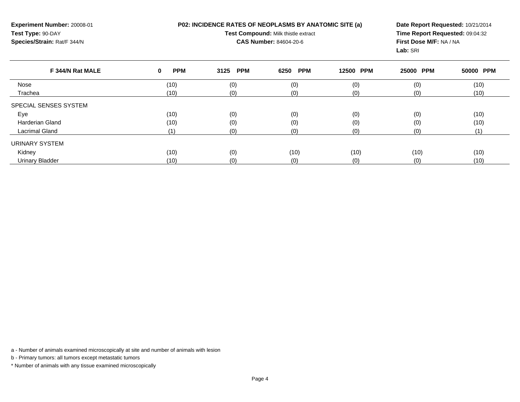**Experiment Number:** 20008-01**Test Type:** 90-DAY **Species/Strain:** Rat/F 344/N**P02: INCIDENCE RATES OF NEOPLASMS BY ANATOMIC SITE (a)Test Compound:** Milk thistle extract**CAS Number:** 84604-20-6**Date Report Requested:** 10/21/2014**Time Report Requested:** 09:04:32**First Dose M/F:** NA / NA**Lab:** SRI**F 344/N Rat MALE**

| F 344/N Rat MALE       | <b>PPM</b><br>0 | 3125 PPM | 6250<br><b>PPM</b> | 12500 PPM | 25000 PPM | 50000 PPM |
|------------------------|-----------------|----------|--------------------|-----------|-----------|-----------|
| Nose                   | (10)            | (0)      | (0)                | (0)       | (0)       | (10)      |
| Trachea                | (10)            | (0)      | (0)                | (0)       | (0)       | (10)      |
| SPECIAL SENSES SYSTEM  |                 |          |                    |           |           |           |
| Eye                    | (10)            | (0)      | (0)                | (0)       | (0)       | (10)      |
| Harderian Gland        | (10)            | (0)      | (0)                | (0)       | (0)       | (10)      |
| <b>Lacrimal Gland</b>  |                 | (0)      | (0)                | (0)       | (0)       | (1)       |
| URINARY SYSTEM         |                 |          |                    |           |           |           |
| Kidney                 | (10)            | (0)      | (10)               | (10)      | (10)      | (10)      |
| <b>Urinary Bladder</b> | (10)            | (0)      | (0)                | (0)       | (0)       | (10)      |

a - Number of animals examined microscopically at site and number of animals with lesion

b - Primary tumors: all tumors except metastatic tumors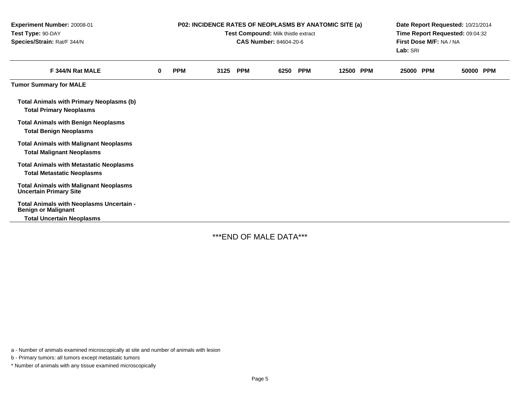| Experiment Number: 20008-01<br>Test Type: 90-DAY<br>Species/Strain: Rat/F 344/N                            | P02: INCIDENCE RATES OF NEOPLASMS BY ANATOMIC SITE (a)<br>Test Compound: Milk thistle extract<br><b>CAS Number: 84604-20-6</b> |            |      |            |      |            | Date Report Requested: 10/21/2014<br>Time Report Requested: 09:04:32<br>First Dose M/F: NA / NA<br>Lab: SRI |  |           |  |       |            |
|------------------------------------------------------------------------------------------------------------|--------------------------------------------------------------------------------------------------------------------------------|------------|------|------------|------|------------|-------------------------------------------------------------------------------------------------------------|--|-----------|--|-------|------------|
| F 344/N Rat MALE                                                                                           | $\bf{0}$                                                                                                                       | <b>PPM</b> | 3125 | <b>PPM</b> | 6250 | <b>PPM</b> | 12500 PPM                                                                                                   |  | 25000 PPM |  | 50000 | <b>PPM</b> |
| <b>Tumor Summary for MALE</b>                                                                              |                                                                                                                                |            |      |            |      |            |                                                                                                             |  |           |  |       |            |
| <b>Total Animals with Primary Neoplasms (b)</b><br><b>Total Primary Neoplasms</b>                          |                                                                                                                                |            |      |            |      |            |                                                                                                             |  |           |  |       |            |
| <b>Total Animals with Benign Neoplasms</b><br><b>Total Benign Neoplasms</b>                                |                                                                                                                                |            |      |            |      |            |                                                                                                             |  |           |  |       |            |
| <b>Total Animals with Malignant Neoplasms</b><br><b>Total Malignant Neoplasms</b>                          |                                                                                                                                |            |      |            |      |            |                                                                                                             |  |           |  |       |            |
| <b>Total Animals with Metastatic Neoplasms</b><br><b>Total Metastatic Neoplasms</b>                        |                                                                                                                                |            |      |            |      |            |                                                                                                             |  |           |  |       |            |
| <b>Total Animals with Malignant Neoplasms</b><br><b>Uncertain Primary Site</b>                             |                                                                                                                                |            |      |            |      |            |                                                                                                             |  |           |  |       |            |
| Total Animals with Neoplasms Uncertain -<br><b>Benign or Malignant</b><br><b>Total Uncertain Neoplasms</b> |                                                                                                                                |            |      |            |      |            |                                                                                                             |  |           |  |       |            |

\*\*\*END OF MALE DATA\*\*\*

a - Number of animals examined microscopically at site and number of animals with lesion

b - Primary tumors: all tumors except metastatic tumors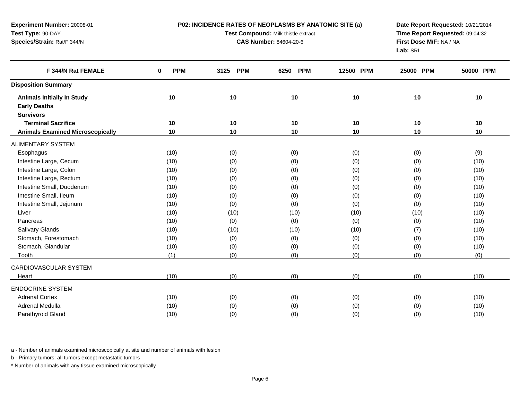**P02: INCIDENCE RATES OF NEOPLASMS BY ANATOMIC SITE (a)**

**Experiment Number:** 20008-01**Test Type:** 90-DAY**Species/Strain:** Rat/F 344/N

**Test Compound:** Milk thistle extract

**CAS Number:** 84604-20-6

**Date Report Requested:** 10/21/2014 **Time Report Requested:** 09:04:32**First Dose M/F:** NA / NA**Lab:** SRI

| F 344/N Rat FEMALE                      | <b>PPM</b><br>0 | <b>PPM</b><br>3125 | <b>PPM</b><br>6250 | 12500 PPM | 25000 PPM | 50000 PPM |  |
|-----------------------------------------|-----------------|--------------------|--------------------|-----------|-----------|-----------|--|
| <b>Disposition Summary</b>              |                 |                    |                    |           |           |           |  |
| <b>Animals Initially In Study</b>       | 10              | 10                 | 10                 | 10        | 10        | 10        |  |
| <b>Early Deaths</b>                     |                 |                    |                    |           |           |           |  |
| <b>Survivors</b>                        |                 |                    |                    |           |           |           |  |
| <b>Terminal Sacrifice</b>               | 10              | 10                 | 10                 | 10        | 10        | 10        |  |
| <b>Animals Examined Microscopically</b> | 10              | 10                 | 10                 | 10        | 10        | 10        |  |
| ALIMENTARY SYSTEM                       |                 |                    |                    |           |           |           |  |
| Esophagus                               | (10)            | (0)                | (0)                | (0)       | (0)       | (9)       |  |
| Intestine Large, Cecum                  | (10)            | (0)                | (0)                | (0)       | (0)       | (10)      |  |
| Intestine Large, Colon                  | (10)            | (0)                | (0)                | (0)       | (0)       | (10)      |  |
| Intestine Large, Rectum                 | (10)            | (0)                | (0)                | (0)       | (0)       | (10)      |  |
| Intestine Small, Duodenum               | (10)            | (0)                | (0)                | (0)       | (0)       | (10)      |  |
| Intestine Small, Ileum                  | (10)            | (0)                | (0)                | (0)       | (0)       | (10)      |  |
| Intestine Small, Jejunum                | (10)            | (0)                | (0)                | (0)       | (0)       | (10)      |  |
| Liver                                   | (10)            | (10)               | (10)               | (10)      | (10)      | (10)      |  |
| Pancreas                                | (10)            | (0)                | (0)                | (0)       | (0)       | (10)      |  |
| <b>Salivary Glands</b>                  | (10)            | (10)               | (10)               | (10)      | (7)       | (10)      |  |
| Stomach, Forestomach                    | (10)            | (0)                | (0)                | (0)       | (0)       | (10)      |  |
| Stomach, Glandular                      | (10)            | (0)                | (0)                | (0)       | (0)       | (10)      |  |
| Tooth                                   | (1)             | (0)                | (0)                | (0)       | (0)       | (0)       |  |
| CARDIOVASCULAR SYSTEM                   |                 |                    |                    |           |           |           |  |
| Heart                                   | (10)            | (0)                | (0)                | (0)       | (0)       | (10)      |  |
| <b>ENDOCRINE SYSTEM</b>                 |                 |                    |                    |           |           |           |  |
| <b>Adrenal Cortex</b>                   | (10)            | (0)                | (0)                | (0)       | (0)       | (10)      |  |
| Adrenal Medulla                         | (10)            | (0)                | (0)                | (0)       | (0)       | (10)      |  |
| Parathyroid Gland                       | (10)            | (0)                | (0)                | (0)       | (0)       | (10)      |  |

a - Number of animals examined microscopically at site and number of animals with lesion

b - Primary tumors: all tumors except metastatic tumors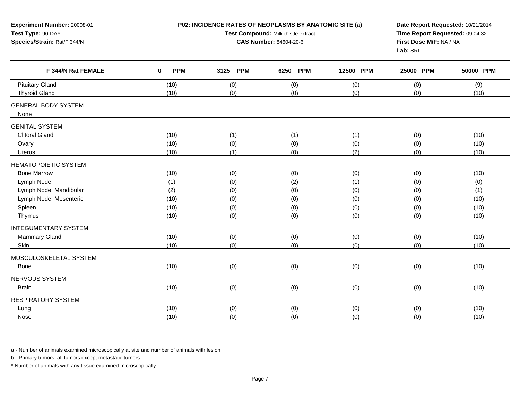| Experiment Number: 20008-01<br>Test Type: 90-DAY<br>Species/Strain: Rat/F 344/N |                        | P02: INCIDENCE RATES OF NEOPLASMS BY ANATOMIC SITE (a)<br>Test Compound: Milk thistle extract<br><b>CAS Number: 84604-20-6</b> | Date Report Requested: 10/21/2014<br>Time Report Requested: 09:04:32<br>First Dose M/F: NA / NA<br>Lab: SRI |                   |                   |                     |
|---------------------------------------------------------------------------------|------------------------|--------------------------------------------------------------------------------------------------------------------------------|-------------------------------------------------------------------------------------------------------------|-------------------|-------------------|---------------------|
| F 344/N Rat FEMALE                                                              | <b>PPM</b><br>$\bf{0}$ | <b>PPM</b><br>3125                                                                                                             | 6250<br><b>PPM</b>                                                                                          | 12500 PPM         | 25000 PPM         | 50000 PPM           |
| <b>Pituitary Gland</b><br><b>Thyroid Gland</b>                                  | (10)<br>(10)           | (0)<br>(0)                                                                                                                     | (0)<br>(0)                                                                                                  | (0)<br>(0)        | (0)<br>(0)        | (9)<br>(10)         |
| <b>GENERAL BODY SYSTEM</b><br>None                                              |                        |                                                                                                                                |                                                                                                             |                   |                   |                     |
| <b>GENITAL SYSTEM</b><br><b>Clitoral Gland</b><br>Ovary                         | (10)<br>(10)           | (1)<br>(0)                                                                                                                     | (1)<br>(0)                                                                                                  | (1)<br>(0)        | (0)<br>(0)        | (10)<br>(10)        |
| Uterus                                                                          | (10)                   | (1)                                                                                                                            | (0)                                                                                                         | (2)               | (0)               | (10)                |
| HEMATOPOIETIC SYSTEM                                                            |                        |                                                                                                                                |                                                                                                             |                   |                   |                     |
| <b>Bone Marrow</b><br>Lymph Node                                                | (10)<br>(1)            | (0)<br>(0)                                                                                                                     | (0)<br>(2)                                                                                                  | (0)<br>(1)        | (0)<br>(0)        | (10)<br>(0)         |
| Lymph Node, Mandibular<br>Lymph Node, Mesenteric<br>Spleen                      | (2)<br>(10)<br>(10)    | (0)<br>(0)<br>(0)                                                                                                              | (0)<br>(0)                                                                                                  | (0)<br>(0)<br>(0) | (0)<br>(0)<br>(0) | (1)<br>(10)<br>(10) |
| Thymus                                                                          | (10)                   | (0)                                                                                                                            | (0)<br>(0)                                                                                                  | (0)               | (0)               | (10)                |
| <b>INTEGUMENTARY SYSTEM</b><br>Mammary Gland<br>Skin                            | (10)<br>(10)           | (0)<br>(0)                                                                                                                     | (0)<br>(0)                                                                                                  | (0)<br>(0)        | (0)<br>(0)        | (10)<br>(10)        |
| MUSCULOSKELETAL SYSTEM                                                          |                        |                                                                                                                                |                                                                                                             |                   |                   |                     |
| Bone                                                                            | (10)                   | (0)                                                                                                                            | (0)                                                                                                         | (0)               | (0)               | (10)                |
| NERVOUS SYSTEM<br><b>Brain</b>                                                  | (10)                   | (0)                                                                                                                            | (0)                                                                                                         | (0)               | (0)               | (10)                |
| <b>RESPIRATORY SYSTEM</b>                                                       |                        |                                                                                                                                |                                                                                                             |                   |                   |                     |
| Lung<br>Nose                                                                    | (10)<br>(10)           | (0)<br>(0)                                                                                                                     | (0)<br>(0)                                                                                                  | (0)<br>(0)        | (0)<br>(0)        | (10)<br>(10)        |

a - Number of animals examined microscopically at site and number of animals with lesion

b - Primary tumors: all tumors except metastatic tumors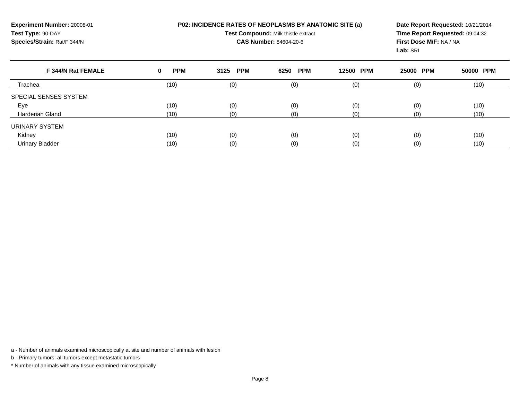| Experiment Number: 20008-01<br>Test Type: 90-DAY<br>Species/Strain: Rat/F 344/N |                 | P02: INCIDENCE RATES OF NEOPLASMS BY ANATOMIC SITE (a)<br>Test Compound: Milk thistle extract<br><b>CAS Number: 84604-20-6</b> | Date Report Requested: 10/21/2014<br>Time Report Requested: 09:04:32<br>First Dose M/F: NA / NA<br>Lab: SRI |           |           |           |
|---------------------------------------------------------------------------------|-----------------|--------------------------------------------------------------------------------------------------------------------------------|-------------------------------------------------------------------------------------------------------------|-----------|-----------|-----------|
| F 344/N Rat FEMALE                                                              | <b>PPM</b><br>0 | <b>PPM</b><br>3125                                                                                                             | <b>PPM</b><br>6250                                                                                          | 12500 PPM | 25000 PPM | 50000 PPM |
| Trachea                                                                         | (10)            | (0)                                                                                                                            | (0)                                                                                                         | (0)       | (0)       | (10)      |
| SPECIAL SENSES SYSTEM                                                           |                 |                                                                                                                                |                                                                                                             |           |           |           |
| Eye                                                                             | (10)            | (0)                                                                                                                            | (0)                                                                                                         | (0)       | (0)       | (10)      |
| <b>Harderian Gland</b>                                                          | (10)            | (0)                                                                                                                            | (0)                                                                                                         | (0)       | (0)       | (10)      |
| URINARY SYSTEM                                                                  |                 |                                                                                                                                |                                                                                                             |           |           |           |
| Kidney                                                                          | (10)            | (0)                                                                                                                            | (0)                                                                                                         | (0)       | (0)       | (10)      |
| <b>Urinary Bladder</b>                                                          | (10)            | (0)                                                                                                                            | (0)                                                                                                         | (0)       | (0)       | (10)      |

a - Number of animals examined microscopically at site and number of animals with lesion

b - Primary tumors: all tumors except metastatic tumors